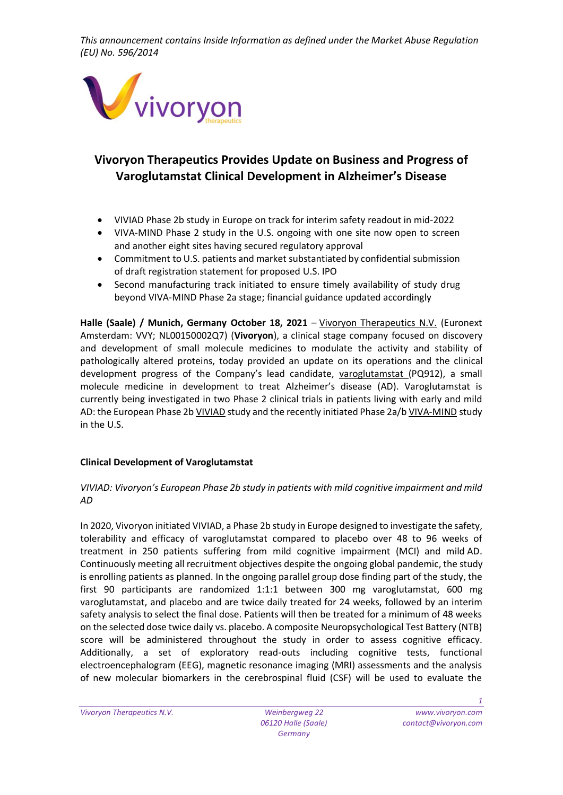

# **Vivoryon Therapeutics Provides Update on Business and Progress of Varoglutamstat Clinical Development in Alzheimer's Disease**

- VIVIAD Phase 2b study in Europe on track for interim safety readout in mid-2022
- VIVA-MIND Phase 2 study in the U.S. ongoing with one site now open to screen and another eight sites having secured regulatory approval
- Commitment to U.S. patients and market substantiated by confidential submission of draft registration statement for proposed U.S. IPO
- Second manufacturing track initiated to ensure timely availability of study drug beyond VIVA-MIND Phase 2a stage; financial guidance updated accordingly

**Halle (Saale) / Munich, Germany October 18, 2021** – [Vivoryon Therapeutics N.V.](https://www.vivoryon.com/) (Euronext Amsterdam: VVY; NL00150002Q7) (**Vivoryon**), a clinical stage company focused on discovery and development of small molecule medicines to modulate the activity and stability of pathologically altered proteins, today provided an update on its operations and the clinical development progress of the Company's lead candidate, [varoglutamstat](https://www.vivoryon.com/pipeline/varoglutamstat/) (PQ912), a small molecule medicine in development to treat Alzheimer's disease (AD). Varoglutamstat is currently being investigated in two Phase 2 clinical trials in patients living with early and mild AD: the European Phase 2b [VIVIAD](https://clinicaltrials.gov/ct2/show/NCT04498650) study and the recently initiated Phase 2a/[b VIVA-MIND](https://clinicaltrials.gov/ct2/show/NCT03919162?term=varoglutamstat&draw=2&rank=1) study in the U.S.

## **Clinical Development of Varoglutamstat**

## *VIVIAD: Vivoryon's European Phase 2b study in patients with mild cognitive impairment and mild AD*

In 2020, Vivoryon initiated VIVIAD, a Phase 2b study in Europe designed to investigate the safety, tolerability and efficacy of varoglutamstat compared to placebo over 48 to 96 weeks of treatment in 250 patients suffering from mild cognitive impairment (MCI) and mild AD. Continuously meeting all recruitment objectives despite the ongoing global pandemic, the study is enrolling patients as planned. In the ongoing parallel group dose finding part of the study, the first 90 participants are randomized 1:1:1 between 300 mg varoglutamstat, 600 mg varoglutamstat, and placebo and are twice daily treated for 24 weeks, followed by an interim safety analysis to select the final dose. Patients will then be treated for a minimum of 48 weeks on the selected dose twice daily vs. placebo. A composite Neuropsychological Test Battery (NTB) score will be administered throughout the study in order to assess cognitive efficacy. Additionally, a set of exploratory read-outs including cognitive tests, functional electroencephalogram (EEG), magnetic resonance imaging (MRI) assessments and the analysis of new molecular biomarkers in the cerebrospinal fluid (CSF) will be used to evaluate the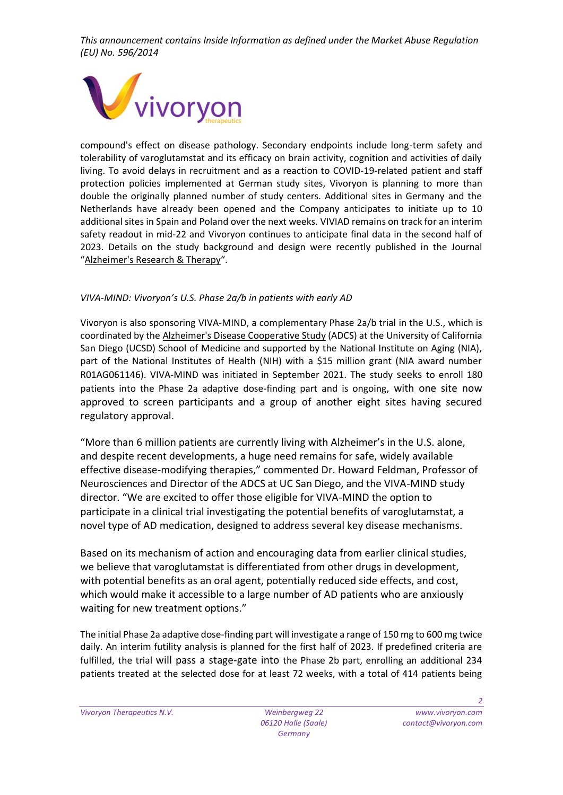

compound's effect on disease pathology. Secondary endpoints include long-term safety and tolerability of varoglutamstat and its efficacy on brain activity, cognition and activities of daily living. To avoid delays in recruitment and as a reaction to COVID-19-related patient and staff protection policies implemented at German study sites, Vivoryon is planning to more than double the originally planned number of study centers. Additional sites in Germany and the Netherlands have already been opened and the Company anticipates to initiate up to 10 additional sites in Spain and Poland over the next weeks. VIVIAD remains on track for an interim safety readout in mid-22 and Vivoryon continues to anticipate final data in the second half of 2023. Details on the study background and design were recently published in the Journal "[Alzheimer's Research & Therapy](https://alzres.biomedcentral.com/articles/10.1186/s13195-021-00882-9)".

## *VIVA-MIND: Vivoryon's U.S. Phase 2a/b in patients with early AD*

Vivoryon is also sponsoring VIVA-MIND, a complementary Phase 2a/b trial in the U.S., which is coordinated by the [Alzheimer's Disease Cooperative Study](https://www.adcs.org/) (ADCS) at the University of California San Diego (UCSD) School of Medicine and supported by the National Institute on Aging (NIA), part of the National Institutes of Health (NIH) with a \$15 million grant (NIA award number R01AG061146). VIVA-MIND was initiated in September 2021. The study seeks to enroll 180 patients into the Phase 2a adaptive dose-finding part and is ongoing, with one site now approved to screen participants and a group of another eight sites having secured regulatory approval.

"More than 6 million patients are currently living with Alzheimer's in the U.S. alone, and despite recent developments, a huge need remains for safe, widely available effective disease-modifying therapies," commented Dr. Howard Feldman, Professor of Neurosciences and Director of the ADCS at UC San Diego, and the VIVA-MIND study director. "We are excited to offer those eligible for VIVA-MIND the option to participate in a clinical trial investigating the potential benefits of varoglutamstat, a novel type of AD medication, designed to address several key disease mechanisms.

Based on its mechanism of action and encouraging data from earlier clinical studies, we believe that varoglutamstat is differentiated from other drugs in development, with potential benefits as an oral agent, potentially reduced side effects, and cost, which would make it accessible to a large number of AD patients who are anxiously waiting for new treatment options."

The initial Phase 2a adaptive dose-finding part will investigate a range of 150 mg to 600 mg twice daily. An interim futility analysis is planned for the first half of 2023. If predefined criteria are fulfilled, the trial will pass a stage-gate into the Phase 2b part, enrolling an additional 234 patients treated at the selected dose for at least 72 weeks, with a total of 414 patients being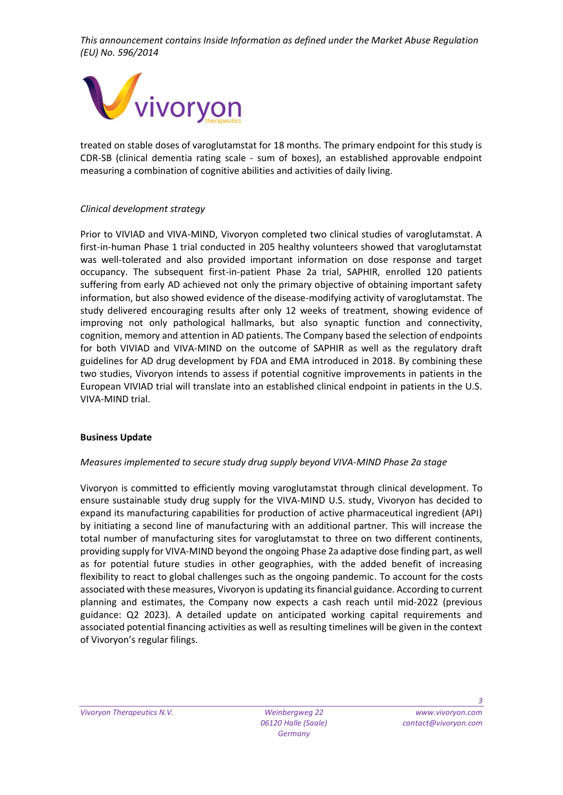

treated on stable doses of varoglutamstat for 18 months. The primary endpoint for this study is CDR-SB (clinical dementia rating scale - sum of boxes), an established approvable endpoint measuring a combination of cognitive abilities and activities of daily living.

#### *Clinical development strategy*

Prior to VIVIAD and VIVA-MIND, Vivoryon completed two clinical studies of varoglutamstat. A first-in-human Phase 1 trial conducted in 205 healthy volunteers showed that varoglutamstat was well-tolerated and also provided important information on dose response and target occupancy. The subsequent first-in-patient Phase 2a trial, SAPHIR, enrolled 120 patients suffering from early AD achieved not only the primary objective of obtaining important safety information, but also showed evidence of the disease-modifying activity of varoglutamstat. The study delivered encouraging results after only 12 weeks of treatment, showing evidence of improving not only pathological hallmarks, but also synaptic function and connectivity, cognition, memory and attention in AD patients. The Company based the selection of endpoints for both VIVIAD and VIVA-MIND on the outcome of SAPHIR as well as the regulatory draft guidelines for AD drug development by FDA and EMA introduced in 2018. By combining these two studies, Vivoryon intends to assess if potential cognitive improvements in patients in the European VIVIAD trial will translate into an established clinical endpoint in patients in the U.S. VIVA-MIND trial.

#### **Business Update**

#### *Measures implemented to secure study drug supply beyond VIVA-MIND Phase 2a stage*

Vivoryon is committed to efficiently moving varoglutamstat through clinical development. To ensure sustainable study drug supply for the VIVA-MIND U.S. study, Vivoryon has decided to expand its manufacturing capabilities for production of active pharmaceutical ingredient (API) by initiating a second line of manufacturing with an additional partner. This will increase the total number of manufacturing sites for varoglutamstat to three on two different continents, providing supply for VIVA-MIND beyond the ongoing Phase 2a adaptive dose finding part, as well as for potential future studies in other geographies, with the added benefit of increasing flexibility to react to global challenges such as the ongoing pandemic. To account for the costs associated with these measures, Vivoryon is updating its financial guidance. According to current planning and estimates, the Company now expects a cash reach until mid-2022 (previous guidance: Q2 2023). A detailed update on anticipated working capital requirements and associated potential financing activities as well as resulting timelines will be given in the context of Vivoryon's regular filings.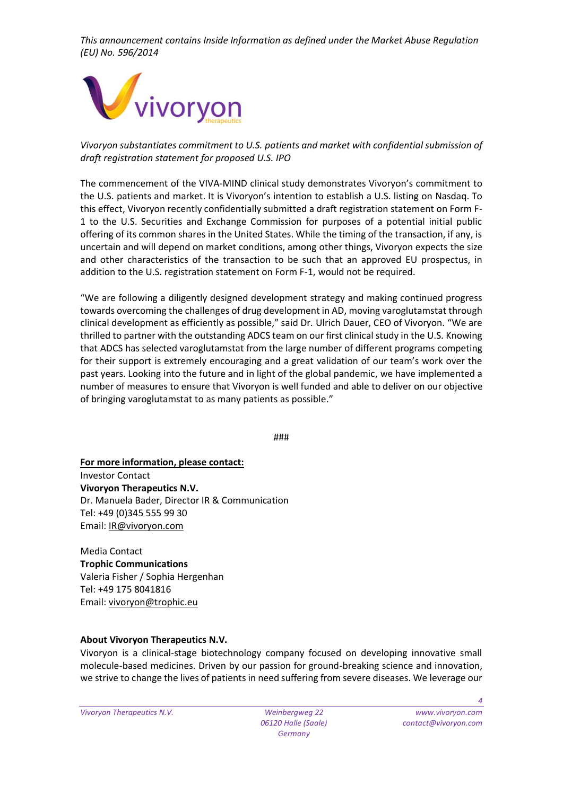

*Vivoryon substantiates commitment to U.S. patients and market with confidential submission of draft registration statement for proposed U.S. IPO*

The commencement of the VIVA-MIND clinical study demonstrates Vivoryon's commitment to the U.S. patients and market. It is Vivoryon's intention to establish a U.S. listing on Nasdaq. To this effect, Vivoryon recently confidentially submitted a draft registration statement on Form F-1 to the U.S. Securities and Exchange Commission for purposes of a potential initial public offering of its common shares in the United States. While the timing of the transaction, if any, is uncertain and will depend on market conditions, among other things, Vivoryon expects the size and other characteristics of the transaction to be such that an approved EU prospectus, in addition to the U.S. registration statement on Form F-1, would not be required.

"We are following a diligently designed development strategy and making continued progress towards overcoming the challenges of drug development in AD, moving varoglutamstat through clinical development as efficiently as possible," said Dr. Ulrich Dauer, CEO of Vivoryon. "We are thrilled to partner with the outstanding ADCS team on our first clinical study in the U.S. Knowing that ADCS has selected varoglutamstat from the large number of different programs competing for their support is extremely encouraging and a great validation of our team's work over the past years. Looking into the future and in light of the global pandemic, we have implemented a number of measures to ensure that Vivoryon is well funded and able to deliver on our objective of bringing varoglutamstat to as many patients as possible."

###

**For more information, please contact:** Investor Contact **Vivoryon Therapeutics N.V.** Dr. Manuela Bader, Director IR & Communication Tel: +49 (0)345 555 99 30 Email: [IR@vivoryon.com](javascript:DeCryptX()

Media Contact **Trophic Communications** Valeria Fisher / Sophia Hergenhan Tel: +49 175 8041816 Email: [vivoryon@trophic.eu](javascript:DeCryptX()

## **About Vivoryon Therapeutics N.V.**

Vivoryon is a clinical-stage biotechnology company focused on developing innovative small molecule-based medicines. Driven by our passion for ground-breaking science and innovation, we strive to change the lives of patients in need suffering from severe diseases. We leverage our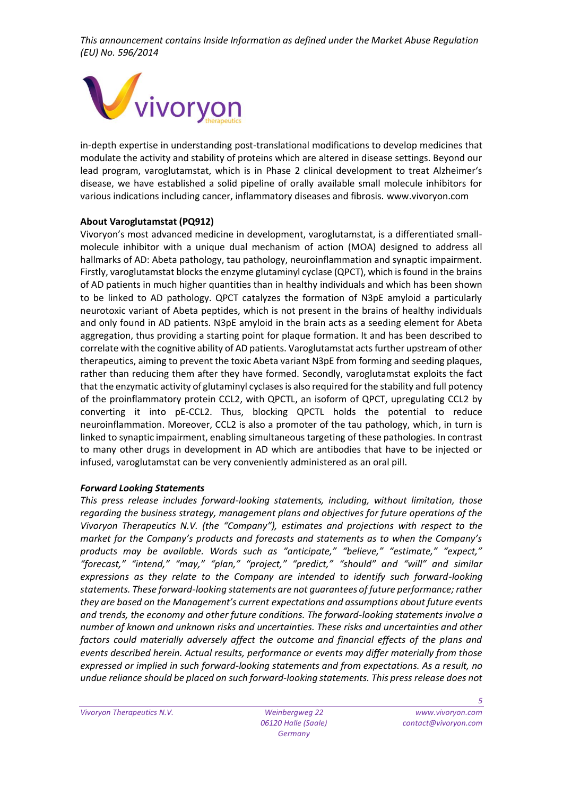

in-depth expertise in understanding post-translational modifications to develop medicines that modulate the activity and stability of proteins which are altered in disease settings. Beyond our lead program, varoglutamstat, which is in Phase 2 clinical development to treat Alzheimer's disease, we have established a solid pipeline of orally available small molecule inhibitors for various indications including cancer, inflammatory diseases and fibrosis. www.vivoryon.com

#### **About Varoglutamstat (PQ912)**

Vivoryon's most advanced medicine in development, varoglutamstat, is a differentiated smallmolecule inhibitor with a unique dual mechanism of action (MOA) designed to address all hallmarks of AD: Abeta pathology, tau pathology, neuroinflammation and synaptic impairment. Firstly, varoglutamstat blocks the enzyme glutaminyl cyclase (QPCT), which is found in the brains of AD patients in much higher quantities than in healthy individuals and which has been shown to be linked to AD pathology. QPCT catalyzes the formation of N3pE amyloid a particularly neurotoxic variant of Abeta peptides, which is not present in the brains of healthy individuals and only found in AD patients. N3pE amyloid in the brain acts as a seeding element for Abeta aggregation, thus providing a starting point for plaque formation. It and has been described to correlate with the cognitive ability of AD patients. Varoglutamstat acts further upstream of other therapeutics, aiming to prevent the toxic Abeta variant N3pE from forming and seeding plaques, rather than reducing them after they have formed. Secondly, varoglutamstat exploits the fact that the enzymatic activity of glutaminyl cyclases is also required for the stability and full potency of the proinflammatory protein CCL2, with QPCTL, an isoform of QPCT, upregulating CCL2 by converting it into pE-CCL2. Thus, blocking QPCTL holds the potential to reduce neuroinflammation. Moreover, CCL2 is also a promoter of the tau pathology, which, in turn is linked to synaptic impairment, enabling simultaneous targeting of these pathologies. In contrast to many other drugs in development in AD which are antibodies that have to be injected or infused, varoglutamstat can be very conveniently administered as an oral pill.

#### *Forward Looking Statements*

*This press release includes forward-looking statements, including, without limitation, those regarding the business strategy, management plans and objectives for future operations of the Vivoryon Therapeutics N.V. (the "Company"), estimates and projections with respect to the market for the Company's products and forecasts and statements as to when the Company's products may be available. Words such as "anticipate," "believe," "estimate," "expect," "forecast," "intend," "may," "plan," "project," "predict," "should" and "will" and similar expressions as they relate to the Company are intended to identify such forward-looking statements. These forward-looking statements are not guarantees of future performance; rather they are based on the Management's current expectations and assumptions about future events and trends, the economy and other future conditions. The forward-looking statements involve a number of known and unknown risks and uncertainties. These risks and uncertainties and other factors could materially adversely affect the outcome and financial effects of the plans and events described herein. Actual results, performance or events may differ materially from those expressed or implied in such forward-looking statements and from expectations. As a result, no undue reliance should be placed on such forward-looking statements. This press release does not*